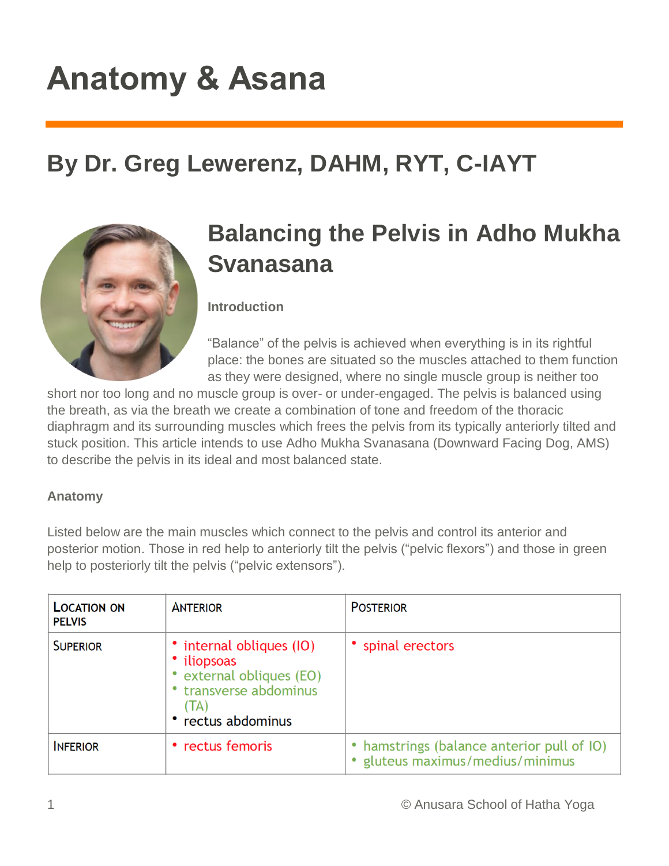# **Anatomy & Asana**

## **By Dr. Greg Lewerenz, DAHM, RYT, C-IAYT**



## **Balancing the Pelvis in Adho Mukha Svanasana**

**Introduction**

"Balance" of the pelvis is achieved when everything is in its rightful place: the bones are situated so the muscles attached to them function as they were designed, where no single muscle group is neither too

short nor too long and no muscle group is over- or under-engaged. The pelvis is balanced using the breath, as via the breath we create a combination of tone and freedom of the thoracic diaphragm and its surrounding muscles which frees the pelvis from its typically anteriorly tilted and stuck position. This article intends to use Adho Mukha Svanasana (Downward Facing Dog, AMS) to describe the pelvis in its ideal and most balanced state.

#### **Anatomy**

Listed below are the main muscles which connect to the pelvis and control its anterior and posterior motion. Those in red help to anteriorly tilt the pelvis ("pelvic flexors") and those in green help to posteriorly tilt the pelvis ("pelvic extensors").

| <b>LOCATION ON</b><br><b>PELVIS</b> | <b>ANTERIOR</b>                                                                                                       | <b>POSTERIOR</b>                                                               |
|-------------------------------------|-----------------------------------------------------------------------------------------------------------------------|--------------------------------------------------------------------------------|
| <b>SUPERIOR</b>                     | • internal obliques (IO)<br>• iliopsoas<br>external obliques (EO)<br>transverse abdominus<br>(IA)<br>rectus abdominus | • spinal erectors                                                              |
| <b>INFERIOR</b>                     | • rectus femoris                                                                                                      | • hamstrings (balance anterior pull of IO)<br>• gluteus maximus/medius/minimus |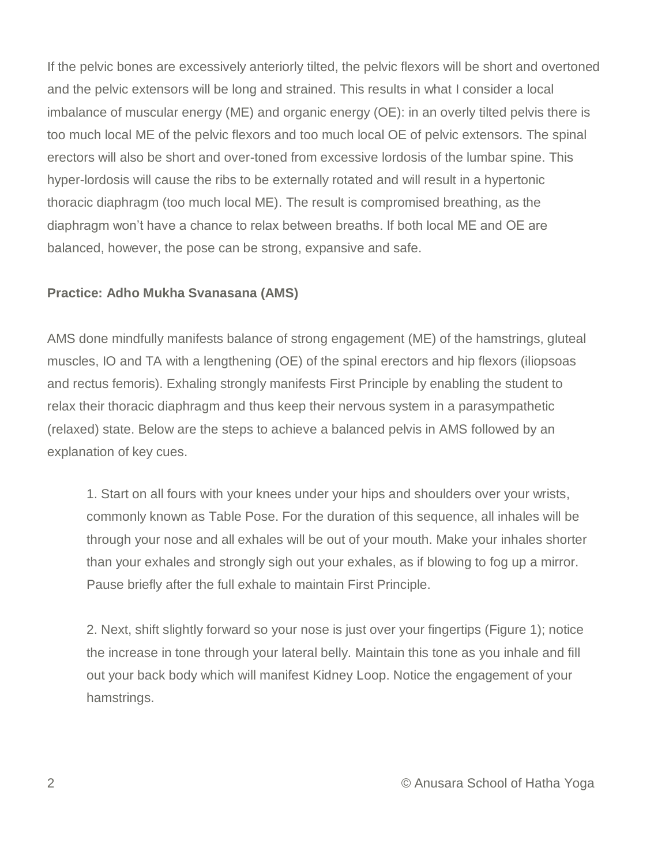If the pelvic bones are excessively anteriorly tilted, the pelvic flexors will be short and overtoned and the pelvic extensors will be long and strained. This results in what I consider a local imbalance of muscular energy (ME) and organic energy (OE): in an overly tilted pelvis there is too much local ME of the pelvic flexors and too much local OE of pelvic extensors. The spinal erectors will also be short and over-toned from excessive lordosis of the lumbar spine. This hyper-lordosis will cause the ribs to be externally rotated and will result in a hypertonic thoracic diaphragm (too much local ME). The result is compromised breathing, as the diaphragm won't have a chance to relax between breaths. If both local ME and OE are balanced, however, the pose can be strong, expansive and safe.

#### **Practice: Adho Mukha Svanasana (AMS)**

AMS done mindfully manifests balance of strong engagement (ME) of the hamstrings, gluteal muscles, IO and TA with a lengthening (OE) of the spinal erectors and hip flexors (iliopsoas and rectus femoris). Exhaling strongly manifests First Principle by enabling the student to relax their thoracic diaphragm and thus keep their nervous system in a parasympathetic (relaxed) state. Below are the steps to achieve a balanced pelvis in AMS followed by an explanation of key cues.

1. Start on all fours with your knees under your hips and shoulders over your wrists, commonly known as Table Pose. For the duration of this sequence, all inhales will be through your nose and all exhales will be out of your mouth. Make your inhales shorter than your exhales and strongly sigh out your exhales, as if blowing to fog up a mirror. Pause briefly after the full exhale to maintain First Principle.

2. Next, shift slightly forward so your nose is just over your fingertips (Figure 1); notice the increase in tone through your lateral belly. Maintain this tone as you inhale and fill out your back body which will manifest Kidney Loop. Notice the engagement of your hamstrings.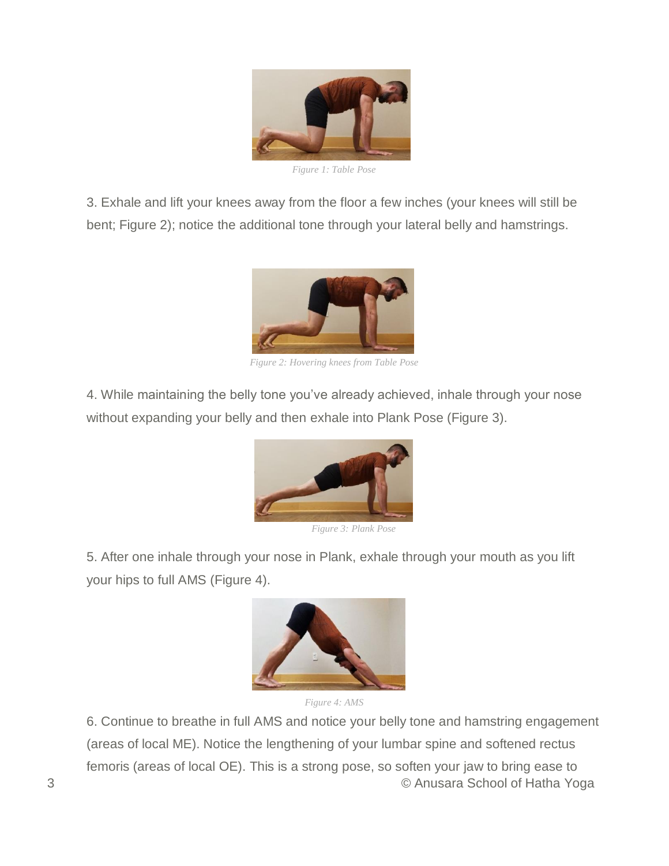

*Figure 1: Table Pose*

3. Exhale and lift your knees away from the floor a few inches (your knees will still be bent; Figure 2); notice the additional tone through your lateral belly and hamstrings.



*Figure 2: Hovering knees from Table Pose*

4. While maintaining the belly tone you've already achieved, inhale through your nose without expanding your belly and then exhale into Plank Pose (Figure 3).



*Figure 3: Plank Pose*

5. After one inhale through your nose in Plank, exhale through your mouth as you lift your hips to full AMS (Figure 4).





3 © Anusara School of Hatha Yoga 6. Continue to breathe in full AMS and notice your belly tone and hamstring engagement (areas of local ME). Notice the lengthening of your lumbar spine and softened rectus femoris (areas of local OE). This is a strong pose, so soften your jaw to bring ease to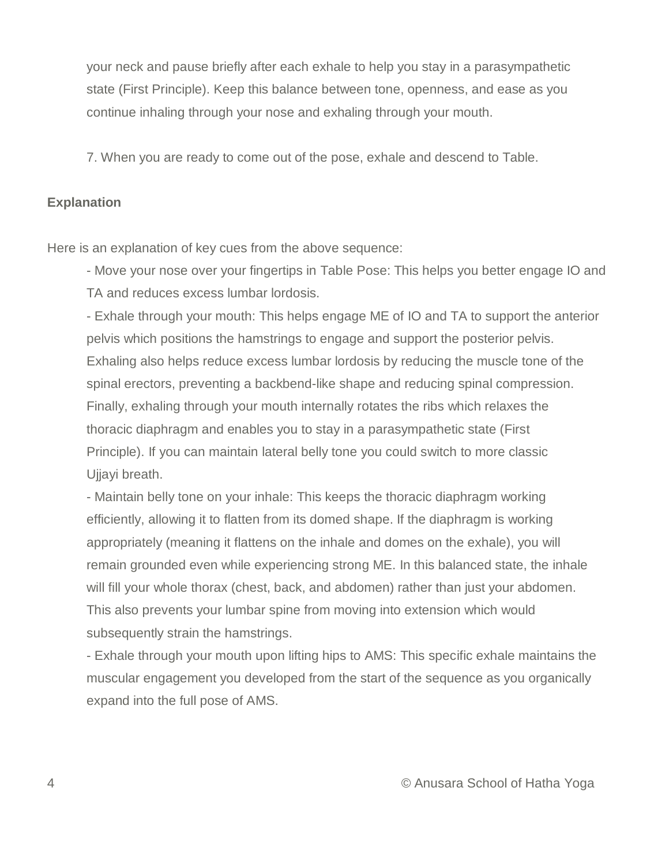your neck and pause briefly after each exhale to help you stay in a parasympathetic state (First Principle). Keep this balance between tone, openness, and ease as you continue inhaling through your nose and exhaling through your mouth.

7. When you are ready to come out of the pose, exhale and descend to Table.

#### **Explanation**

Here is an explanation of key cues from the above sequence:

- Move your nose over your fingertips in Table Pose: This helps you better engage IO and TA and reduces excess lumbar lordosis.

- Exhale through your mouth: This helps engage ME of IO and TA to support the anterior pelvis which positions the hamstrings to engage and support the posterior pelvis. Exhaling also helps reduce excess lumbar lordosis by reducing the muscle tone of the spinal erectors, preventing a backbend-like shape and reducing spinal compression. Finally, exhaling through your mouth internally rotates the ribs which relaxes the thoracic diaphragm and enables you to stay in a parasympathetic state (First Principle). If you can maintain lateral belly tone you could switch to more classic Ujjayi breath.

- Maintain belly tone on your inhale: This keeps the thoracic diaphragm working efficiently, allowing it to flatten from its domed shape. If the diaphragm is working appropriately (meaning it flattens on the inhale and domes on the exhale), you will remain grounded even while experiencing strong ME. In this balanced state, the inhale will fill your whole thorax (chest, back, and abdomen) rather than just your abdomen. This also prevents your lumbar spine from moving into extension which would subsequently strain the hamstrings.

- Exhale through your mouth upon lifting hips to AMS: This specific exhale maintains the muscular engagement you developed from the start of the sequence as you organically expand into the full pose of AMS.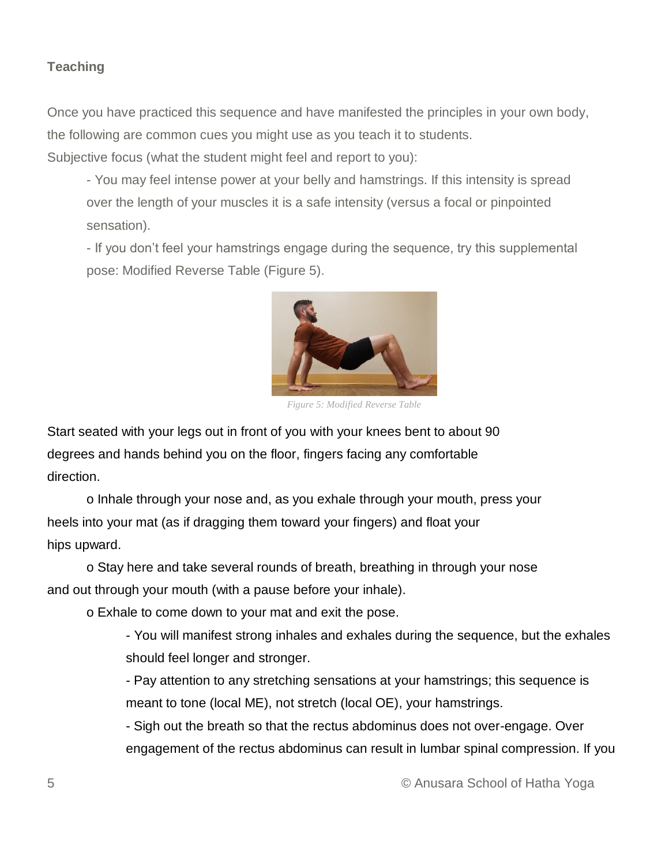### **Teaching**

Once you have practiced this sequence and have manifested the principles in your own body, the following are common cues you might use as you teach it to students. Subjective focus (what the student might feel and report to you):

- You may feel intense power at your belly and hamstrings. If this intensity is spread over the length of your muscles it is a safe intensity (versus a focal or pinpointed sensation).

- If you don't feel your hamstrings engage during the sequence, try this supplemental pose: Modified Reverse Table (Figure 5).



*Figure 5: Modified Reverse Table*

Start seated with your legs out in front of you with your knees bent to about 90 degrees and hands behind you on the floor, fingers facing any comfortable direction.

o Inhale through your nose and, as you exhale through your mouth, press your heels into your mat (as if dragging them toward your fingers) and float your hips upward.

o Stay here and take several rounds of breath, breathing in through your nose and out through your mouth (with a pause before your inhale).

o Exhale to come down to your mat and exit the pose.

- You will manifest strong inhales and exhales during the sequence, but the exhales should feel longer and stronger.

- Pay attention to any stretching sensations at your hamstrings; this sequence is meant to tone (local ME), not stretch (local OE), your hamstrings.

- Sigh out the breath so that the rectus abdominus does not over-engage. Over engagement of the rectus abdominus can result in lumbar spinal compression. If you